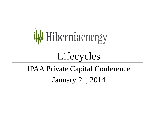

# Lifecycles

## IPAA Private Capital Conference January 21, 2014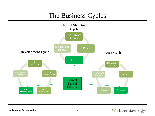#### The Business Cycles



#### Hiberniaenergy<sup>®</sup>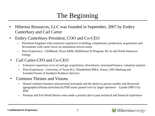### The Beginning

- Hibernia Resources, LLC was founded in September, 2007 by Embry Canterbury and Carl Carter
- Embry Canterbury-President, COO and Co-CEO
	- Petroleum Engineer with extensive experience in drilling, completions, production, acquisitions and divestments with career focus on stimulation driven assets
	- Prior Experience: Childhood, Texas A&M, Halliburton IS Program, Ro-Jo and North American Energy
- Carl Carter-CFO and Co-CEO
	- Extensive experience in in oil and gas acquisitions, divestitures, structured finance, valuation analysis
	- Prior Experience: University of Texas B.S, Thunderbird MBA, Enron, UBS Warburg and Founder/Owner of Southern Producer Services
- Common Themes and Visions
	- Shared common business and personal principals and the desire to pursue smaller and distressed (geographical/financial/technical) PDP assets passed over by larger operators – Upside HBP'd by PDP
	- Permian and Fort Worth Basins were made a priority due to past technical and financial experience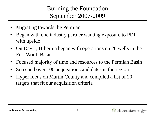Building the Foundation September 2007-2009

- Migrating towards the Permian
- Began with one industry partner wanting exposure to PDP with upside
- On Day 1, Hibernia began with operations on 20 wells in the Fort Worth Basin
- Focused majority of time and resources to the Permian Basin
- Screened over 100 acquisition candidates in the region
- Hyper focus on Martin County and compiled a list of 20 targets that fit our acquisition criteria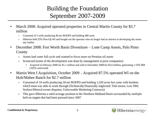#### Building the Foundation September 2007-2009

- March 2008: Acquired operated properties in Central Martin County for \$3.7 million
	- Consisted of 5 wells producing 40 net BOEPD and holding 480 acres
	- Hibernia held 25% Non-Op WI and bought out the operator who no longer had an interest in developing the assets any further
- December 2008: Fort Worth Basin Divestiture Lone Camp Assets, Palo Pinto **County** 
	- Assets had come full cycle and wanted to focus more on Permian oil assets
	- Scorecard (some of the development was done by management at prior companies)
		- Acquired in February 2006 for \$1.1 million and sold in December 2008 for \$2.0 million, generating a 53% IRR (102% unlevered)
- Martin West I Acquisition, October 2009 Acquired 87.5% operated WI on the Holt/Mabee Ranch for \$2.7 million
	- Consisted of 10 wells producing 50 net BOEPD and holding 1,520 acres but came with burdens which team was able to work through (Technically/financially neglected; Title issues; Low NRI; Surface/Mineral owner disputes; Unfavorable Marketing Contracts)
	- This gave Hibernia a solid acreage position in the Northern Midland Basin surrounded by multiple bolt-on targets that had been pursued since 2007

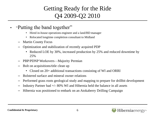#### Getting Ready for the Ride Q4 2009-Q2 2010

- "Putting the band together"
	- Hired in-house operations engineer and a land/BD manager
	- Relocated longtime completion consultant to Midland
	- Martin County Focus
	- Optimization and stabilization of recently acquired PDP
		- Reduced LOE by 30%, increased production by 25% and reduced downtime by 25%
	- PBP/PDNP Workovers—Majority Permian
	- Bolt on acquisitions/title clean up
		- Closed on 20+ additional transactions consisting of WI and ORRI
	- Bolstered surface and mineral owner relations
	- Performed grass roots geological study and mapping to prepare for drillbit development
	- Industry Partner had  $+/-$  80% WI and Hibernia held the balance in all assets
	- Hibernia was positioned to embark on an Atokaberry Drilling Campaign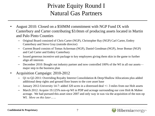#### Private Equity Round I Natural Gas Partners

- August 2010: Closed on a \$50MM commitment with NGP Fund IX with Canterbury and Carter contributing \$3.0mm of producing assets located in Martin and Palo Pinto Counties
	- Original Board consisted of Chris Carter (NGP), Christopher Ray (NGP) Carl Carter, Embry Canterbury and Steve Gray (outside director)
	- Current Board consists of Tomas Ackerman (NGP), Daniel Goodman (NGP), Jesse Bomar (NGP) and Carl Carter and Embry Canterbury
	- Issued generous incentive unit package to key employees giving them skin in the game to further align all interests
	- December 2010: Bought out industry partner and now controlled 100% of the WI in all our assets major step in the business plan
- Acquisition Campaign: 2010-2012
	- Q1 to Q2-2011: Overriding Royalty Interest Consolidation & Deep/Shallow Allocations plus added additional deep rights and ground floor leases to the core asset base
	- January 2012-University 14-7: added 320 acres in a distressed deal +/- 3 miles from our Holt assets
	- March 2012: Acquire 19.125% non-op WI in PDP and acreage surrounding our core Holt & Mabee acreage. We had pursued this asset since 2007 and only way in was via the acquisition of the non-op WI. *More on this later……*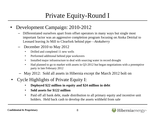#### Private Equity-Round I

- Development Campaign: 2010-2012
	- Differentiated ourselves apart from offset operators in many ways but single most important factor was an aggressive completion program focusing on Atoka Detrital to Leonard leaving Jo Mill to Clearfork behind pipe—*Atokaberry*
	- December 2010 to May 2012
		- Drilled and completed 11 new wells
		- Performed additional behind pipe workovers
		- Installed major infrastructure to deal with sourcing water in record drought
		- Had planned to go to market with assets in Q3-2012 but began negotiations with a preemptive party in late February 2012
	- May 2012: Sold all assets in Hibernia except the March 2012 bolt on
- Cycle Highlights of Private Equity I:
	- **Deployed \$22 million in equity and \$24 million in debt**
	- **Sold assets for \$122 million**
	- Paid off all bank debt, made distribution to all primary equity and incentive unit holders. Held back cash to develop the assets withheld from sale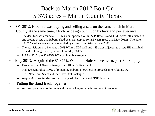#### Back to March 2012 Bolt On 5,373 acres – Martin County, Texas

- Q1-2012: Hibernia was buying and selling assets on the same ranch in Martin County at the same time; Much by design but much by luck and perseverance.
	- The deal focused around a 19.125% non-operated WI in 27 PDP wells and 4,930 acres, all situated in and around assets that Hibernia had been developing for 2.5 years (sold that May-2012). The other 80.875% WI was owned and operated by an entity in distress since 2006.
	- The acquisition also included 100% WI in 1 PDP well and 443 acres adjacent to assets Hibernia had been developing for 2.5 years (sold in May 2012)
	- In May 2012, the 80.875% WI went in to bankruptcy
- May 2013: Acquired the 81.875% WI in the Holt/Mabee assets post Bankruptcy
	- Re-capitalized Hibernia Energy I into Hibernia Energy IA
	- Management rolled 100% of remaining Hibernia I ownership/proceeds into Hibernia IA
		- New Term Sheet and Incentive Unit Packages
	- Acquisition was funded from existing cash, bank debt and NGP Fund IX
- "Putting the Band Back Together"
	- Add key personnel to the team and issued all aggressive incentive unit packages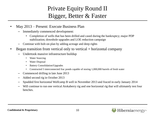#### Private Equity Round II Bigger, Better & Faster

- May 2013 Present: Execute Business Plan
	- Immediately commenced development:
		- Completion of wells that has been drilled and cased during the bankruptcy; major PDP stabilization; downhole upgrades and LOE reduction campaign
	- Continue with bolt-on plan by adding acreage and deep rights
- Began transition from vertical only to vertical  $+$  horizontal company
	- Undertook massive infrastructure buildup
		- Water Sourcing
		- Water Disposal
		- Battery Consolidation/Upgrades
		- Constructed 5 interconnected frac ponds capable of storing 1,000,000 barrels of fresh water
	- Commenced drilling in late June 2013
	- Added second rig in October 2013
	- Spudded first horizontal Wolfcamp B well in November 2013 and fraced in early January 2014
	- Will continue to run one vertical Atokaberry rig and one horizontal rig that will ultimately test four benches.